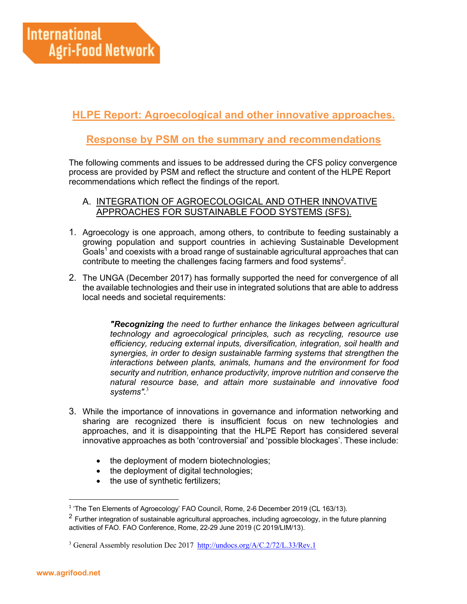# **HLPE Report: Agroecological and other innovative approaches.**

## **Response by PSM on the summary and recommendations**

The following comments and issues to be addressed during the CFS policy convergence process are provided by PSM and reflect the structure and content of the HLPE Report recommendations which reflect the findings of the report.

## A. INTEGRATION OF AGROECOLOGICAL AND OTHER INNOVATIVE APPROACHES FOR SUSTAINABLE FOOD SYSTEMS (SFS).

- 1. Agroecology is one approach, among others, to contribute to feeding sustainably a growing population and support countries in achieving Sustainable Development Goals<sup>1</sup> and coexists with a broad range of sustainable agricultural approaches that can contribute to meeting the challenges facing farmers and food systems<sup>2</sup>.
- 2. The UNGA (December 2017) has formally supported the need for convergence of all the available technologies and their use in integrated solutions that are able to address local needs and societal requirements:

*"Recognizing the need to further enhance the linkages between agricultural technology and agroecological principles, such as recycling, resource use efficiency, reducing external inputs, diversification, integration, soil health and synergies, in order to design sustainable farming systems that strengthen the interactions between plants, animals, humans and the environment for food security and nutrition, enhance productivity, improve nutrition and conserve the natural resource base, and attain more sustainable and innovative food systems".*<sup>3</sup>

- 3. While the importance of innovations in governance and information networking and sharing are recognized there is insufficient focus on new technologies and approaches, and it is disappointing that the HLPE Report has considered several innovative approaches as both 'controversial' and 'possible blockages'. These include:
	- the deployment of modern biotechnologies;
	- the deployment of digital technologies;
	- the use of synthetic fertilizers;

<sup>&</sup>lt;sup>1</sup> 'The Ten Elements of Agroecology' FAO Council, Rome, 2-6 December 2019 (CL 163/13).

 $2$  Further integration of sustainable agricultural approaches, including agroecology, in the future planning activities of FAO. FAO Conference, Rome, 22-29 June 2019 (C 2019/LIM/13).

<sup>&</sup>lt;sup>3</sup> General Assembly resolution Dec 2017 http://undocs.org/A/C.2/72/L.33/Rev.1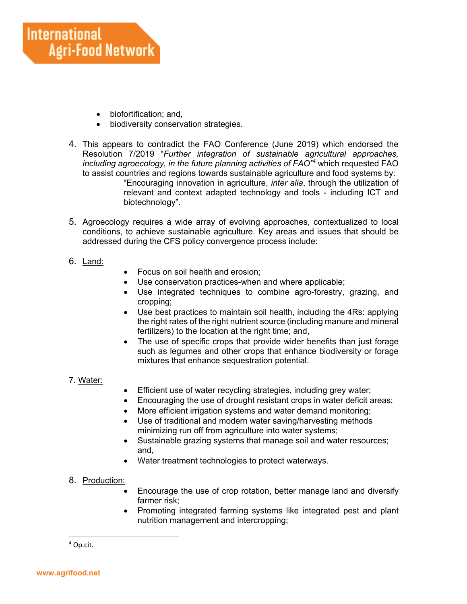- biofortification; and,
- biodiversity conservation strategies.
- 4. This appears to contradict the FAO Conference (June 2019) which endorsed the Resolution 7/2019 "*Further integration of sustainable agricultural approaches, including agroecology, in the future planning activities of FAO"4* which requested FAO to assist countries and regions towards sustainable agriculture and food systems by: "Encouraging innovation in agriculture, *inter alia*, through the utilization of relevant and context adapted technology and tools - including ICT and biotechnology".
- 5. Agroecology requires a wide array of evolving approaches, contextualized to local conditions, to achieve sustainable agriculture. Key areas and issues that should be addressed during the CFS policy convergence process include:
- 6. Land:
- Focus on soil health and erosion;
- Use conservation practices-when and where applicable;
- Use integrated techniques to combine agro-forestry, grazing, and cropping;
- Use best practices to maintain soil health, including the 4Rs: applying the right rates of the right nutrient source (including manure and mineral fertilizers) to the location at the right time; and,
- The use of specific crops that provide wider benefits than just forage such as legumes and other crops that enhance biodiversity or forage mixtures that enhance sequestration potential.

#### 7. Water:

- Efficient use of water recycling strategies, including grey water;
- Encouraging the use of drought resistant crops in water deficit areas;
- More efficient irrigation systems and water demand monitoring;
- Use of traditional and modern water saving/harvesting methods minimizing run off from agriculture into water systems;
- Sustainable grazing systems that manage soil and water resources; and,
- Water treatment technologies to protect waterways.
- 8. Production:
	- Encourage the use of crop rotation, better manage land and diversify farmer risk;
	- Promoting integrated farming systems like integrated pest and plant nutrition management and intercropping;

<sup>4</sup> Op.cit.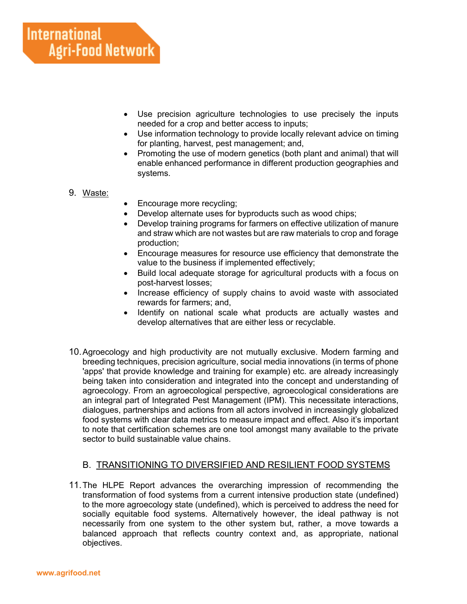- Use precision agriculture technologies to use precisely the inputs needed for a crop and better access to inputs;
- Use information technology to provide locally relevant advice on timing for planting, harvest, pest management; and,
- Promoting the use of modern genetics (both plant and animal) that will enable enhanced performance in different production geographies and systems.

## 9. Waste:

- Encourage more recycling;
- Develop alternate uses for byproducts such as wood chips;
- Develop training programs for farmers on effective utilization of manure and straw which are not wastes but are raw materials to crop and forage production;
- Encourage measures for resource use efficiency that demonstrate the value to the business if implemented effectively;
- Build local adequate storage for agricultural products with a focus on post-harvest losses;
- Increase efficiency of supply chains to avoid waste with associated rewards for farmers; and,
- Identify on national scale what products are actually wastes and develop alternatives that are either less or recyclable.
- 10.Agroecology and high productivity are not mutually exclusive. Modern farming and breeding techniques, precision agriculture, social media innovations (in terms of phone 'apps' that provide knowledge and training for example) etc. are already increasingly being taken into consideration and integrated into the concept and understanding of agroecology. From an agroecological perspective, agroecological considerations are an integral part of Integrated Pest Management (IPM). This necessitate interactions, dialogues, partnerships and actions from all actors involved in increasingly globalized food systems with clear data metrics to measure impact and effect. Also it's important to note that certification schemes are one tool amongst many available to the private sector to build sustainable value chains.

## B. TRANSITIONING TO DIVERSIFIED AND RESILIENT FOOD SYSTEMS

11.The HLPE Report advances the overarching impression of recommending the transformation of food systems from a current intensive production state (undefined) to the more agroecology state (undefined), which is perceived to address the need for socially equitable food systems. Alternatively however, the ideal pathway is not necessarily from one system to the other system but, rather, a move towards a balanced approach that reflects country context and, as appropriate, national objectives.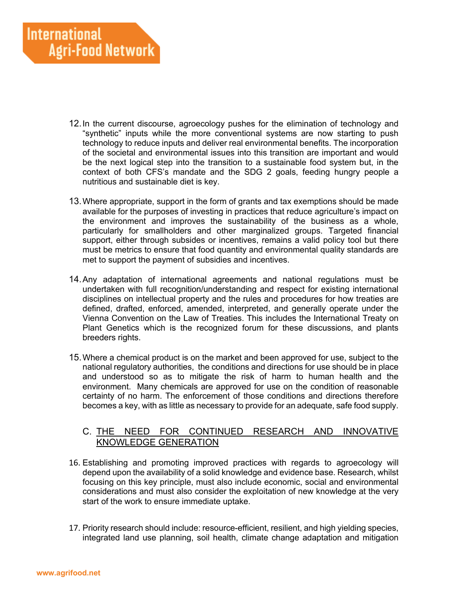- 12.In the current discourse, agroecology pushes for the elimination of technology and "synthetic" inputs while the more conventional systems are now starting to push technology to reduce inputs and deliver real environmental benefits. The incorporation of the societal and environmental issues into this transition are important and would be the next logical step into the transition to a sustainable food system but, in the context of both CFS's mandate and the SDG 2 goals, feeding hungry people a nutritious and sustainable diet is key.
- 13.Where appropriate, support in the form of grants and tax exemptions should be made available for the purposes of investing in practices that reduce agriculture's impact on the environment and improves the sustainability of the business as a whole, particularly for smallholders and other marginalized groups. Targeted financial support, either through subsides or incentives, remains a valid policy tool but there must be metrics to ensure that food quantity and environmental quality standards are met to support the payment of subsidies and incentives.
- 14.Any adaptation of international agreements and national regulations must be undertaken with full recognition/understanding and respect for existing international disciplines on intellectual property and the rules and procedures for how treaties are defined, drafted, enforced, amended, interpreted, and generally operate under the Vienna Convention on the Law of Treaties. This includes the International Treaty on Plant Genetics which is the recognized forum for these discussions, and plants breeders rights.
- 15.Where a chemical product is on the market and been approved for use, subject to the national regulatory authorities, the conditions and directions for use should be in place and understood so as to mitigate the risk of harm to human health and the environment. Many chemicals are approved for use on the condition of reasonable certainty of no harm. The enforcement of those conditions and directions therefore becomes a key, with as little as necessary to provide for an adequate, safe food supply.

## C. THE NEED FOR CONTINUED RESEARCH AND INNOVATIVE KNOWLEDGE GENERATION

- 16. Establishing and promoting improved practices with regards to agroecology will depend upon the availability of a solid knowledge and evidence base. Research, whilst focusing on this key principle, must also include economic, social and environmental considerations and must also consider the exploitation of new knowledge at the very start of the work to ensure immediate uptake.
- 17. Priority research should include: resource-efficient, resilient, and high yielding species, integrated land use planning, soil health, climate change adaptation and mitigation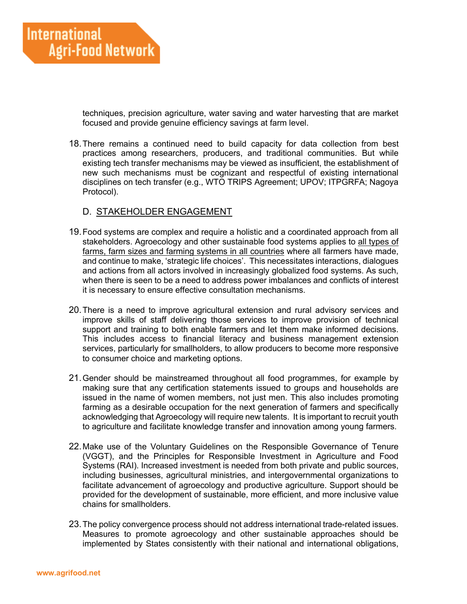techniques, precision agriculture, water saving and water harvesting that are market focused and provide genuine efficiency savings at farm level.

18.There remains a continued need to build capacity for data collection from best practices among researchers, producers, and traditional communities. But while existing tech transfer mechanisms may be viewed as insufficient, the establishment of new such mechanisms must be cognizant and respectful of existing international disciplines on tech transfer (e.g., WTO TRIPS Agreement; UPOV; ITPGRFA; Nagoya Protocol).

### D. STAKEHOLDER ENGAGEMENT

- 19.Food systems are complex and require a holistic and a coordinated approach from all stakeholders. Agroecology and other sustainable food systems applies to all types of farms, farm sizes and farming systems in all countries where all farmers have made, and continue to make, 'strategic life choices'. This necessitates interactions, dialogues and actions from all actors involved in increasingly globalized food systems. As such, when there is seen to be a need to address power imbalances and conflicts of interest it is necessary to ensure effective consultation mechanisms.
- 20.There is a need to improve agricultural extension and rural advisory services and improve skills of staff delivering those services to improve provision of technical support and training to both enable farmers and let them make informed decisions. This includes access to financial literacy and business management extension services, particularly for smallholders, to allow producers to become more responsive to consumer choice and marketing options.
- 21.Gender should be mainstreamed throughout all food programmes, for example by making sure that any certification statements issued to groups and households are issued in the name of women members, not just men. This also includes promoting farming as a desirable occupation for the next generation of farmers and specifically acknowledging that Agroecology will require new talents. It is important to recruit youth to agriculture and facilitate knowledge transfer and innovation among young farmers.
- 22.Make use of the Voluntary Guidelines on the Responsible Governance of Tenure (VGGT), and the Principles for Responsible Investment in Agriculture and Food Systems (RAI). Increased investment is needed from both private and public sources, including businesses, agricultural ministries, and intergovernmental organizations to facilitate advancement of agroecology and productive agriculture. Support should be provided for the development of sustainable, more efficient, and more inclusive value chains for smallholders.
- 23.The policy convergence process should not address international trade-related issues. Measures to promote agroecology and other sustainable approaches should be implemented by States consistently with their national and international obligations,